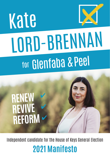# Kate LORD-BRENNAN for Glenfaba & Peel

# **RENEW REVIVE REFORM**

Independent candidate for the House of Keys General Election **2021 Manifesto**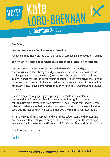### Kate LORD-BRENNAN VOTE! *For Glenfaba & Peel*

Dear Voter,

Anyone can set out a list of issues at a given time.

Far beyond that though, is the truth that style of approach and motivation matters.

Being willing to listen and to reflect on a position are of enduring importance.

I am someone who feels strongly compelled to understand and get to the heart of issues, to seek the right and just course of action, who speaks up and challenges when things are wrong (even against the odds!) and who seeks to influence and persist for the best course of action. This is what drives me. It relies on curiosity, an openness to be informed, and at times, a strong will, because it is not always easy. I have demonstrated this in my Legislative Council and Tynwald roles already.

I have already thoroughly enjoyed getting to understand the different communities in Glenfaba & Peel in a deeper way. I recognise that these communities are different and have different needs. I value that, and if elected I pledge to take care in that regard across the constituency, to be around and to carry out the role of MHK in a conscientious way with strong representation.

It is in the spirit of this approach, and with these values, along with presenting my manifesto, that I ask you to put your trust in me to be your House of Keys representative in the service and interests of Glenfaba & Peel, and the Isle of Man.

Thank you and best wishes,

Kate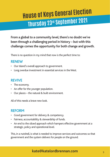## **House of Keys General Election Thursday 23rd September 2021**

**From a global to a community level, there's no doubt we've been through a challenging period in history – but with this challenge comes the opportunity for both change and growth.** 

There is no question in my mind that now is the perfect time to:

#### **RENEW**

- Our Island's overall approach to government.
- Long overdue investment in essential services in the West.

#### **REVIVE**

- The economy.
- An offer for the younger population.
- Our places the natural & built environment.

All of this needs a brave new look.

#### **REFORM**

- Good government for delivery & competency.
- Fairness, accountability & stewardship of funds.
- An end to the siloed approach which hampers effective government at a strategic, policy and operational level.

This, in a nutshell, is what is needed to improve services and outcomes so that government and the system delivers for people on the ground.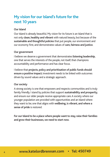#### **My vision for our Island's future for the next 10 years**

#### **Our Island**

Our Island is already beautiful. My vision for its future is an Island that is not only **clean, healthy and vibrant** with natural beauty, but because of the **sustainable and thoughtful policies** that put people, our environment and our economy first, and demonstrates values of **care, fairness and justice**.

#### **Our government**

I believe we deserve a government that demonstrates **listening leadership**, one that serves the interests of the people, not itself; that champions accountability and performance and has clear focus.

I believe that **projects**, **policy and prioritisation of public funds should ensure a positive impact**; investment needs to be linked with outcomes driven by sound values and a strategic approach.

#### **Our society**

A strong society is one that empowers and respects communities and is truly family friendly. I stand by policies that support **sustainability and prosperity**, and ensure our older people receive appropriate care. A society where our younger population are provided with opportunities and an Island where they want to be; one that aligns with **wellbeing, is vibrant, and where a sense of pride** is restored.

**For our Island to be a place where people want to stay, raise their families and grow their businesses, we need to start now.**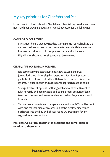#### **My key priorities for Glenfaba and Peel**

Investment in infrastructure for Glenfaba and Peel is long overdue and does not match our growing population. I would advocate for the following:

#### **CARE FOR OLDER PEOPLE**

- Investment here is urgently needed. Corrin Home has highlighted that we need residential care in the community: a residential care model that works, and modern, fit-for-purpose facilities for the West.
- Eligibility for sheltered housing needs to be reviewed.

#### **CLEAN, SAFE BAY & BEACH FOR PEEL**

- It is completely unacceptable to have raw sewage and PCBs (polychlorinated biphenyls) discharged into Peel Bay. It presents a public health risk and is at odds with Biosphere status. This has been ignored. A public health and aspirational approach must be taken.
- Sewage treatment options (both regional and centralised) must be fully, honestly and openly appraised, taking proper account of longterm costs, impact and year-round water quality. Regulations should be updated.
- This demands honesty and transparency about how PCBs will be dealt with, and the inclusion of an extension of the outflow pipe, which discharges into the bay and all year round UV treatment for any regional treatment options.

**Peel deserves a firm deadline for decisions and completion in relation to these issues.** 

#### **kate@katelordbrennan.com** 550745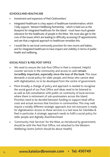#### **SCHOOLS AND HEALTHCARE**

- Investment and expansion of Peel Clothworkers'.
- Integrated healthcare is a key aspect of healthcare transformation, which I fully support. Western Wellbeing Partnership - which is held out as the blueprint for integrated healthcare for the Island - must have much greater relevance for the healthcare of people in the West. We must also get to the core of the issues which are leading to difficulty accessing GP appointments and see that a regional approach to healthcare remedies this.
- I would like to see local community provision for new mums and babies. and for integrated healthcare to have impact and visibility in terms of public health and wellbeing.

#### **SOCIAL POLICY & PEEL POST OFFICE**

- We need to ensure the Sub-Post Office in Peel is retained. Helpful counter services in the community and access to cash **remain incredibly important, especially since the loss of the bank**. This issue demands a social policy for older people, and those who cannot deal with digitalisation, to to be developed from the centre of government.
- More broadly, a change of policy and approach is needed to recognise the social good of our Post Office and ideas need to be listened to as well as full consultation with public on continuity of local services where there is retirement of sub-postmasters across the Island. Priorities need to be decided between funding to support head office costs and actual services that function in communities. This may well require a totally different strategic approach, but not everyone is ready for digitalisation. Access to these services is a real issue for Glenfaba & Peel in particular. A strategic approach needs to fulfil a social policy for older people and digitally disenfranchised.
- 'Community Hub Services' for the West, as introduced by government, should be with the Peel Post Office, not attached to the Western Wellbeing Centre (which should be about Health).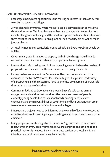#### **JOBS, ENVIRONMENT, TOWNS & VILLAGES**

- Encourage employment opportunities and thriving businesses in Glenfaba & Peel to uplift the towns and villages.
- A well-planned community where most of people's daily needs can be met by a short walk or cycle. This is achievable for Peel. It also aligns with targets for both climate change and wellbeing, and the need to improve roads and streets to make them easier to walk and cross, push a pram, or use a mobility aid, as well as make journeys by car.
- Air-quality monitoring, particularly around schools. Biodiversity policies should be fulfilled.
- Government grants in relation to property and climate change should include reintroduction of financial assistance for properties affected by damp.
- Interventions, safe crossings and limits on speeding need to be based on wishes of people who live there and use the streets. We need a policy for streets.
- Having had concerns about the Eastern Area Plan, I am not convinced of the approach of the North West Area Plan, especially given the present inadequacy of infrastructure and the recognised need to prioritise development of brownfield sites rather than greenfield sites.
- Community-led and collaborative plans would be preferable based on real engagement and **a vision that considers the needs and wants of people**, especially young people, businesses, social needs, housing needs, creative endeavours and the responsibilities of government and local authorities in order to **revive what were once thriving towns and villages**.
- Infrastructure projects need to be informed by the wealth of local knowledge and expertise already out there. A principle of asking (early) to get insight needs to be embraced.
- Many people are questioning why the basics don't get attended to in terms of roads, verges and very basic maintenance. **A sense of pride and tending to the practical matters is needed.** Basic maintenance services at a local and Island infrastructure must be done on a regular schedule.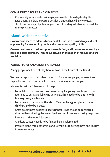#### **COMMUNITY GROUPS AND CHARITIES**

• Community groups and charities play a valuable role in day-to-day life. Regulations and laws impacting smaller charities should be reviewed, as should accessibility of potential government funding, which may be available to the private sector.

#### **Island-wide perspective**

**Government needs to address fundamental issues in a focused way and seek opportunity for economic growth and an improved quality of life.**

**Government needs to address priority needs first, and in some areas, employ a back-to-basics approach. This should include prioritisation of resources to the front-line.**

#### **YOUNG PEOPLE AND GROWING FAMILIES**

**Young people need to feel they have a stake in the future of the Island.**

We need an approach that offers something for younger people, to make their way in life and also ensures that the Island is a vibrant attractive place to be.

My view is that the following would help:

- Formulation of a **clear and positive offering for young people** and those returning to our Island following university. This **needs to be tied in with housing policy / schemes**.
- Focus needs to be on **how the Isle of Man can be a great place to have children, and to be a child**.
- Cross-government policies to address these issues should be considered, along with considering the issue of reduced fertility rate and policy responses.
- Increase to Maternity Allowance.
- Childcare strategy needs to be finalised and implemented.
- Improve Island with economic plan, brownfield site development and tourism & leisure offering.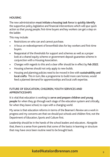#### **HOUSING**

The new administration **must initiate a housing task force** to **quickly identify** the supportive policy, legislative and financial interventions which will spur quick action so that young people, first-time buyers and key workers can get a step on the ladder.

This may include:

- Restrictions on who can and cannot purchase.
- A focus on redevelopment of brownfield sites for key workers and first-time buyers.
- Reappraisal of the thresholds for support and schemes as well as a proper look at a shared equity scheme or government deposit guarantee scheme in conjunction with a Housing Association.
- Changes with regards to this and a clear offer should be in effect by **Feb 2022**.
- Housing schemes should not only apply to new builds.
- Housing and planning policies need to be moved in line with **sustainability and local crafts**. This in turn, like a programme to build more care homes, would feed a planned demand for apprenticeships and local craft expertise.

#### **FUTURE OF EDUCATION, CHILDREN, YOUTH SERVICES AND APPRENTICESHIPS**

It is vital that education is working to **serve and prepare children and young people** for when they go through each stage of the education system and critically, for when they leave school, to cope with a changing world.

My sense is that education reforms in terms of the Beaman's Review are a work in progress and my concerns are that we should put schools and children first, not the Department of Education, Sports and Culture first.

Leadership should be in the hands of the school leaders and educators. Alongside that, there is a sense from parents that some of the basics in learning or structure that may have once been routine need to be brought back.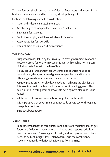The way forward should ensure the confidence of educators and parents in the best interest of children and teens as they develop though life.

I believe the following warrants consideration.

- Open and independent attainment data.
- Greater degree of independence in review / evaluation.
- Basic tests for students.
- Youth services play a vital role which could be wider.
- Apprenticeships for new skills.
- Establishment of Children's Commissioner.

#### **THE ECONOMY**

- Support approach taken by the Treasury led cross-government Economic Recovery Group for long-term economic plan with emphasis on a green, digital and safe future for the Isle of Man.
- Roles / set up of Department for Enterprise and agencies need to be re- evaluated, the agencies need greater independence and focus on attracting inward investment and trade needs impetus.
- A strategic and professionally developed and marketing-led plan for the future of tourism in the Island with a focus on stimulating growth. This could also tie in with potential brownfield development plans and Island revival.
- All this needs to **convert into action**, not just sit on the shelf.
- It is imperative that government does not stifle private sector through its own policy / actions.
- Strip back bureaucracy.

#### **AGRICULTURE**

I am concerned that the core purpose and future of agriculture doesn't get forgotten. Different aspects of what makes up and supports agriculture could be improved. The core goal of quality and food production on island needs to be kept in sight. I will listen to farmers in the constituency. Government needs to decide what it wants from farming.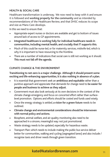#### **HEALTH & SOCIAL CARE**

Healthcare transformation is underway. We now need to keep with it and ensure it is followed and **working properly for the community** and as intended by recommendations of the Healthcare Review, and that DHSC reduces its scope and size as Manx Care develops.

In this we need to ensure that:

- Appropriate expert nurses or doctors are available and get to bottom of issues around lack of access to GP appointments.
- **• Integrated healthcare is working fully for individual healthcare needs in communities, including mental health, and crucially that IT supports this.**
- Much of this could be nurse-led, or for maternity services, midwife-led, which is why it is important to have resourcing to the frontline.
- There are a number of indications that social care is still not working as it should. **This must not fall off the agenda.**

#### **CLIMATE CHANGE & THE ENVIRONMENT**

**Transitioning to net-zero is a major challenge. Although it should present some exciting and life-enhancing opportunities, it is also nothing in absence of a plan.** 

- It is essential that government seek an **ambitious and equitable** rather than a punitive approach and appreciate that demands for change need to **be easier for people and business to achieve as they adjust**.
- Government must also look seriously at its own decisions in the context of the climate change emergency and focus on concerted effort rather than surfacelevel promotion. Options and efforts should be costed and funds used wisely.
- Once the energy strategy is settled, **a vision for a green future** needs to be outlined.
- **• Climate change and environmental considerations should be interwoven with normal policy and actions.**
- Biosphere, animal welfare, and air-quality monitoring also need to be approached in a sincere, meaningful way: not just promotional.
- Waste strategy needs to be updated, especially for hazardous waste.
- Transport Plan: which needs to include making the public bus service deliver better for communities, walking and cycling (segregated lanes) and also include / recognise taxis and driver needs through green transition.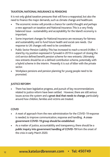#### **TAXATION, NATIONAL INSURANCE & PENSIONS**

It is not only global taxation pressures that will force a reappraisal, but also the need to finance the major demands, such as climate change and healthcare.

- The economic review will provide a chance for careful thought and perhaps a new approach on taxation and National Insurance. This is a very finely balanced issue - sustainability and acceptability for the Island's economy is important.
- Some important changes for National Insurance are necessary for fairness and sustainability and to fund future health and social care needs. Our response to UK changes will need to be considered.
- Public Sector Pension Liability: This has increased to reach a record £4.8bn. I stand by my position expressed in Tynwald in 2019 in support of closing the civil service defined benefit pension scheme for new entrants. Ultimately new entrants should be on a defined contribution scheme, potentially with a hybrid scheme in the interim. Presently it is out of kilter with the private sector.
- Workplace pensions and pension planning for young people need to be promoted.

#### **JUSTICE REFORM**

• There has been legislative progress, and pursuit of key recommendations related to justice reform have been settled. However, there are still serious issues across the system and a **great deal that needs to change**, particularly around how children, families and victims are treated.

#### **COVID**

- A reset of approach from the new administration for the COVID-19 response is needed, to improve communication, response and handling. **A crossgovernment COVID-19 group should be established**.
- As a matter of justice, accountability and transparency, there should be a **public inquiry into government handling of COVID-19** from the onset of the crisis in early March 2020.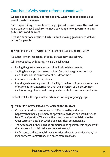#### **Core Issues: Why some reforms cannot wait**

**We need to realistically address not only what needs to change, but how it needs to change.** 

**Each major failing, concealment, or project of concern over the past few years can be traced back to the need to change how government does its business and delivers.** 

**Here is a summary of these. Each is about making government deliver better for people.** 

#### **1) SPLIT POLICY AND STRATEGY FROM OPERATIONAL DELIVERY**

We suffer from an inadequacy of policy development and delivery.

Splitting out policy and strategy means the following:

- Ending the governmental system of multi/siloed departments.
- Seeking broader perspective on policies, from outside government, that aren't based on the narrow view of one department.
- Common-sense check for policies.
- Ensuring an honest appraisal of suitability to deliver policies at an early stage of major decisions. Expertise need not be permanent as the government itself is too large, too inward looking, and needs to become more productive.

**The first task for this approach needs to be housing for young people.** 

#### **2) ENHANCE ACCOUNTABILITY AND PERFORMANCE**

- Changes to the line management of CEOs should be addressed. Departments should preferably be operational divisions and should instead have Chief Operating Officers, with a direct line of accountability to the Chief Secretary, a position which also needs clear accountability.
- The system of HR should ensure promotions and appointments happen with due process, with public value and interest in mind.
- Performance and accountability are functions that can be carried out by the Public Services Commission. This needs more emphasis.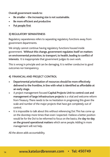**Overall government needs to:**

- **• Be smaller the increasing size is not sustainable.**
- **• Be more efficient and productive**
- **• Put people first**

#### **3) REGULATORY SEPARATENESS**

Regulatory separateness refers to separating regulatory functions away from government departments.

We simply cannot continue having regulatory functions housed inside government. **Without this change, government regulates itself on matters on environmental protection, to transport, to health, leading to conflict of interests.** It is inappropriate that government judges its own work.

This is wrong in principle and can be damaging. It is neither conducive to good outcomes nor transparency.

#### **4) FINANCIAL AND PROJECT CONTROL**

- **• Departmental prioritisation of resources should be more effectively delivered to the frontline, in line with what is identified as affordable at an early stage.**
- A project management focused **Capital Projects Unit to control cost and management of large infrastructure projects** is a vital and welcome reform from Treasury. There needs to be no hesitation in progressing this given the scale and number of the major projects that have got completely out of control.
- It is impossible to talk about this without referencing DoI. This has come up on the doorstep more times than even I expected. I believe a better position would be for the DoI to be reformed to focus on the basics, the **day-to-day on the ground operational matters** which serve people. Adding in more management will not help.

All the above adds accountability.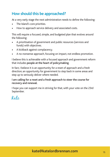#### **How should this be approached?**

At a very early stage the next administration needs to define the following:

- The Island's core priorities.
- How to approach service delivery and associated costs.

This will require a focused, simple, and budgeted plan that evolves around the following:

- A prioritisation of government and public resources (services and funds) with objectives.
- A kickback against complacency.
- A no-nonsense approach, focusing on impact, not endless promotion.

I believe this is achievable with a focused approach and government reform that includes **people at the heart of policymaking**.

In fact, I believe it is an opportunity for a reset of approach and a fresh direction; an opportunity for government to step back in some areas and step up to seriously deliver where needed.

#### **I am calling for a reset and a fresh approach to steer the course for recovery and renewal.**

I hope you can support me in striving for that, with your vote on the 23rd September.

Kate